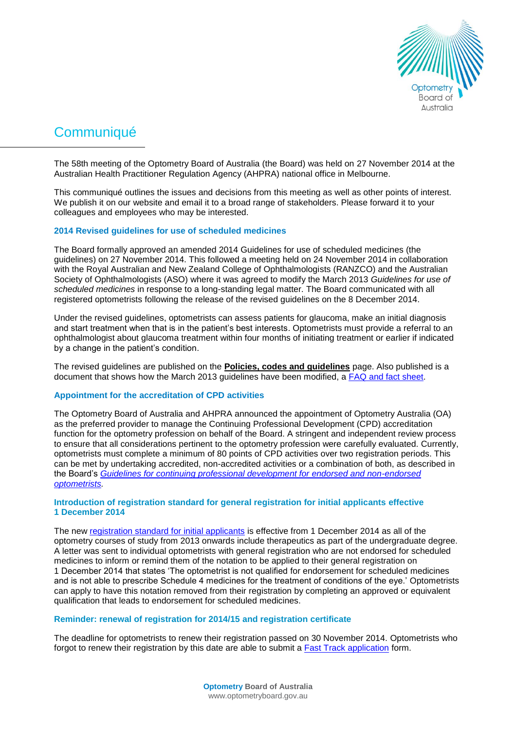

# **Communiqué**

The 58th meeting of the Optometry Board of Australia (the Board) was held on 27 November 2014 at the Australian Health Practitioner Regulation Agency (AHPRA) national office in Melbourne.

This communiqué outlines the issues and decisions from this meeting as well as other points of interest. We publish it on our website and email it to a broad range of stakeholders. Please forward it to your colleagues and employees who may be interested.

# **2014 Revised guidelines for use of scheduled medicines**

The Board formally approved an amended 2014 Guidelines for use of scheduled medicines (the guidelines) on 27 November 2014. This followed a meeting held on 24 November 2014 in collaboration with the Royal Australian and New Zealand College of Ophthalmologists (RANZCO) and the Australian Society of Ophthalmologists (ASO) where it was agreed to modify the March 2013 *Guidelines for use of scheduled medicines* in response to a long-standing legal matter. The Board communicated with all registered optometrists following the release of the revised guidelines on the 8 December 2014.

Under the revised guidelines, optometrists can assess patients for glaucoma, make an initial diagnosis and start treatment when that is in the patient's best interests. Optometrists must provide a referral to an ophthalmologist about glaucoma treatment within four months of initiating treatment or earlier if indicated by a change in the patient's condition.

The revised guidelines are published on the **[Policies, codes and guidelines](http://www.optometryboard.gov.au/Policies-Codes-Guidelines.aspx)** page. Also published is a document that shows how the March 2013 guidelines have been modified, a [FAQ and fact sheet.](http://www.optometryboard.gov.au/Policies-Codes-Guidelines/FAQ.aspx)

## **Appointment for the accreditation of CPD activities**

The Optometry Board of Australia and AHPRA announced the appointment of Optometry Australia (OA) as the preferred provider to manage the Continuing Professional Development (CPD) accreditation function for the optometry profession on behalf of the Board. A stringent and independent review process to ensure that all considerations pertinent to the optometry profession were carefully evaluated. Currently, optometrists must complete a minimum of 80 points of CPD activities over two registration periods. This can be met by undertaking accredited, non-accredited activities or a combination of both, as described in the Board's *[Guidelines for continuing professional development for endorsed and non-endorsed](http://www.optometryboard.gov.au/Policies-Codes-Guidelines.aspx)  [optometrists.](http://www.optometryboard.gov.au/Policies-Codes-Guidelines.aspx)*

# **Introduction of registration standard for general registration for initial applicants effective 1 December 2014**

The new [registration standard for initial applicants](http://www.optometryboard.gov.au/Registration-Standards.aspx) is effective from 1 December 2014 as all of the optometry courses of study from 2013 onwards include therapeutics as part of the undergraduate degree. A letter was sent to individual optometrists with general registration who are not endorsed for scheduled medicines to inform or remind them of the notation to be applied to their general registration on 1 December 2014 that states 'The optometrist is not qualified for endorsement for scheduled medicines and is not able to prescribe Schedule 4 medicines for the treatment of conditions of the eye.' Optometrists can apply to have this notation removed from their registration by completing an approved or equivalent qualification that leads to endorsement for scheduled medicines.

## **Reminder: renewal of registration for 2014/15 and registration certificate**

The deadline for optometrists to renew their registration passed on 30 November 2014. Optometrists who forgot to renew their registration by this date are able to submit a **Fast Track application** form.